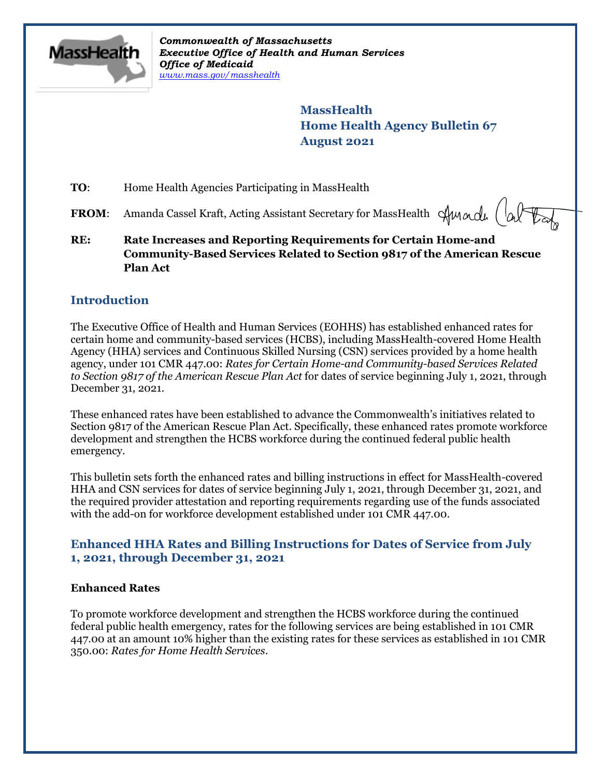

*Commonwealth of Massachusetts Executive Office of Health and Human Services Office of Medicaid [www.mass.gov/masshealth](http://www.mass.gov/masshealth)*

> **MassHealth Home Health Agency Bulletin 67 August 2021**

**TO:** Home Health Agencies Participating in MassHealth

**FROM:** Amanda Cassel Kraft, Acting Assistant Secretary for MassHealth  $\forall$ Mandu  $\begin{pmatrix} \downarrow_{\alpha} \end{pmatrix}$ 

**RE: Rate Increases and Reporting Requirements for Certain Home-and Community-Based Services Related to Section 9817 of the American Rescue Plan Act**

## **Introduction**

The Executive Office of Health and Human Services (EOHHS) has established enhanced rates for certain home and community-based services (HCBS), including MassHealth-covered Home Health Agency (HHA) services and Continuous Skilled Nursing (CSN) services provided by a home health agency, under 101 CMR 447.00: *Rates for Certain Home-and Community-based Services Related to Section 9817 of the American Rescue Plan Act* for dates of service beginning July 1, 2021, through December 31, 2021.

These enhanced rates have been established to advance the Commonwealth's initiatives related to Section 9817 of the American Rescue Plan Act. Specifically, these enhanced rates promote workforce development and strengthen the HCBS workforce during the continued federal public health emergency.

This bulletin sets forth the enhanced rates and billing instructions in effect for MassHealth-covered HHA and CSN services for dates of service beginning July 1, 2021, through December 31, 2021, and the required provider attestation and reporting requirements regarding use of the funds associated with the add-on for workforce development established under 101 CMR 447.00.

## **Enhanced HHA Rates and Billing Instructions for Dates of Service from July 1, 2021, through December 31, 2021**

#### **Enhanced Rates**

To promote workforce development and strengthen the HCBS workforce during the continued federal public health emergency, rates for the following services are being established in 101 CMR 447.00 at an amount 10% higher than the existing rates for these services as established in 101 CMR 350.00: *Rates for Home Health Services*.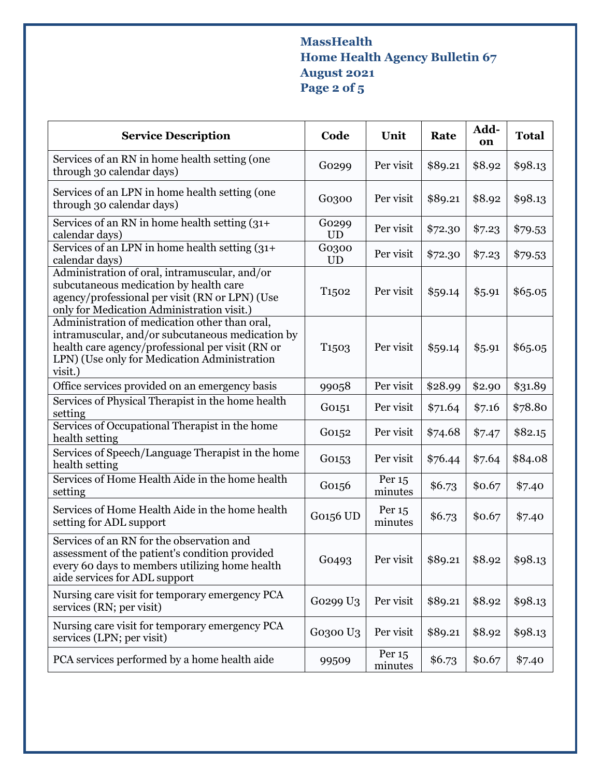# **MassHealth Home Health Agency Bulletin 67 August 2021 Page 2 of 5**

| <b>Service Description</b>                                                                                                                                                                                       | Code               | Unit                | Rate    | Add-<br>on | <b>Total</b> |
|------------------------------------------------------------------------------------------------------------------------------------------------------------------------------------------------------------------|--------------------|---------------------|---------|------------|--------------|
| Services of an RN in home health setting (one<br>through 30 calendar days)                                                                                                                                       | Go299              | Per visit           | \$89.21 | \$8.92     | \$98.13      |
| Services of an LPN in home health setting (one<br>through 30 calendar days)                                                                                                                                      | G0300              | Per visit           | \$89.21 | \$8.92     | \$98.13      |
| Services of an RN in home health setting (31+<br>calendar days)                                                                                                                                                  | Go299<br><b>UD</b> | Per visit           | \$72.30 | \$7.23     | \$79.53      |
| Services of an LPN in home health setting (31+<br>calendar days)                                                                                                                                                 | G0300<br><b>UD</b> | Per visit           | \$72.30 | \$7.23     | \$79.53      |
| Administration of oral, intramuscular, and/or<br>subcutaneous medication by health care<br>agency/professional per visit (RN or LPN) (Use<br>only for Medication Administration visit.)                          | T <sub>1502</sub>  | Per visit           | \$59.14 | \$5.91     | \$65.05      |
| Administration of medication other than oral,<br>intramuscular, and/or subcutaneous medication by<br>health care agency/professional per visit (RN or<br>LPN) (Use only for Medication Administration<br>visit.) | T <sub>1503</sub>  | Per visit           | \$59.14 | \$5.91     | \$65.05      |
| Office services provided on an emergency basis                                                                                                                                                                   | 99058              | Per visit           | \$28.99 | \$2.90     | \$31.89      |
| Services of Physical Therapist in the home health<br>setting                                                                                                                                                     | G0151              | Per visit           | \$71.64 | \$7.16     | \$78.80      |
| Services of Occupational Therapist in the home<br>health setting                                                                                                                                                 | G0152              | Per visit           | \$74.68 | \$7.47     | \$82.15      |
| Services of Speech/Language Therapist in the home<br>health setting                                                                                                                                              | G0153              | Per visit           | \$76.44 | \$7.64     | \$84.08      |
| Services of Home Health Aide in the home health<br>setting                                                                                                                                                       | G0156              | Per 15<br>minutes   | \$6.73  | \$0.67     | \$7.40       |
| Services of Home Health Aide in the home health<br>setting for ADL support                                                                                                                                       | G0156 UD           | Per 15<br>minutes   | \$6.73  | \$0.67     | \$7.40       |
| Services of an RN for the observation and<br>assessment of the patient's condition provided<br>every 60 days to members utilizing home health<br>aide services for ADL support                                   | Go <sub>493</sub>  | Per visit           | \$89.21 | \$8.92     | \$98.13      |
| Nursing care visit for temporary emergency PCA<br>services (RN; per visit)                                                                                                                                       | Go299 U3           | Per visit           | \$89.21 | \$8.92     | \$98.13      |
| Nursing care visit for temporary emergency PCA<br>services (LPN; per visit)                                                                                                                                      | G0300 U3           | Per visit           | \$89.21 | \$8.92     | \$98.13      |
| PCA services performed by a home health aide                                                                                                                                                                     | 99509              | Per $15$<br>minutes | \$6.73  | \$0.67     | \$7.40       |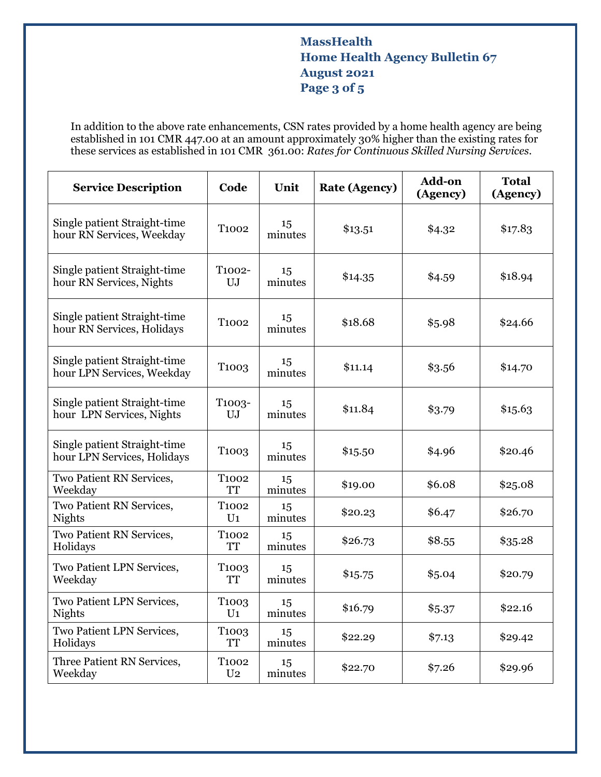## **MassHealth Home Health Agency Bulletin 67 August 2021 Page 3 of 5**

In addition to the above rate enhancements, CSN rates provided by a home health agency are being established in 101 CMR 447.00 at an amount approximately 30% higher than the existing rates for these services as established in 101 CMR 361.00: *Rates for Continuous Skilled Nursing Services*.

| <b>Service Description</b>                                  | Code                                | Unit          | <b>Rate (Agency)</b> | Add-on<br>(Agency) | <b>Total</b><br>(Agency) |
|-------------------------------------------------------------|-------------------------------------|---------------|----------------------|--------------------|--------------------------|
| Single patient Straight-time<br>hour RN Services, Weekday   | T <sub>1002</sub>                   | 15<br>minutes | \$13.51              | \$4.32             | \$17.83                  |
| Single patient Straight-time<br>hour RN Services, Nights    | T1002-<br>UJ                        | 15<br>minutes | \$14.35              | \$4.59             | \$18.94                  |
| Single patient Straight-time<br>hour RN Services, Holidays  | T <sub>1002</sub>                   | 15<br>minutes | \$18.68              | \$5.98             | \$24.66                  |
| Single patient Straight-time<br>hour LPN Services, Weekday  | T <sub>100</sub> 3                  | 15<br>minutes | \$11.14              | \$3.56             | \$14.70                  |
| Single patient Straight-time<br>hour LPN Services, Nights   | T1003-<br>UJ                        | 15<br>minutes | \$11.84              | \$3.79             | \$15.63                  |
| Single patient Straight-time<br>hour LPN Services, Holidays | T <sub>1003</sub>                   | 15<br>minutes | \$15.50              | \$4.96             | \$20.46                  |
| Two Patient RN Services,<br>Weekday                         | T <sub>1002</sub><br>TT             | 15<br>minutes | \$19.00              | \$6.08             | \$25.08                  |
| Two Patient RN Services,<br><b>Nights</b>                   | T <sub>1002</sub><br>U <sub>1</sub> | 15<br>minutes | \$20.23              | \$6.47             | \$26.70                  |
| Two Patient RN Services,<br>Holidays                        | T <sub>1002</sub><br>TT             | 15<br>minutes | \$26.73              | \$8.55             | \$35.28                  |
| Two Patient LPN Services,<br>Weekday                        | T <sub>1003</sub><br><b>TT</b>      | 15<br>minutes | \$15.75              | \$5.04             | \$20.79                  |
| Two Patient LPN Services,<br><b>Nights</b>                  | T <sub>1003</sub><br>$U_1$          | 15<br>minutes | \$16.79              | \$5.37             | \$22.16                  |
| Two Patient LPN Services,<br>Holidays                       | T <sub>1003</sub><br><b>TT</b>      | 15<br>minutes | \$22.29              | \$7.13             | \$29.42                  |
| Three Patient RN Services,<br>Weekday                       | T <sub>1002</sub><br>U <sub>2</sub> | 15<br>minutes | \$22.70              | \$7.26             | \$29.96                  |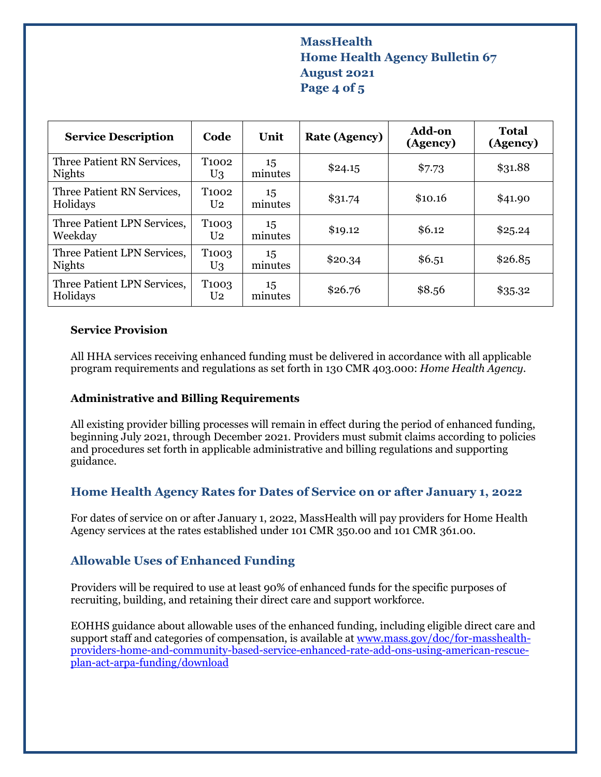## **MassHealth Home Health Agency Bulletin 67 August 2021 Page 4 of 5**

| <b>Service Description</b>                   | Code                                | Unit          | <b>Rate (Agency)</b> | <b>Add-on</b><br>(Agency) | Total<br>(Agency) |
|----------------------------------------------|-------------------------------------|---------------|----------------------|---------------------------|-------------------|
| Three Patient RN Services,<br><b>Nights</b>  | T <sub>1002</sub><br>U <sub>3</sub> | 15<br>minutes | \$24.15              | \$7.73                    | \$31.88           |
| Three Patient RN Services,<br>Holidays       | T1002<br>U <sub>2</sub>             | 15<br>minutes | \$31.74              | \$10.16                   | \$41.90           |
| Three Patient LPN Services,<br>Weekday       | T <sub>1003</sub><br>U <sub>2</sub> | 15<br>minutes | \$19.12              | \$6.12                    | \$25.24           |
| Three Patient LPN Services,<br><b>Nights</b> | T <sub>1003</sub><br>U <sub>3</sub> | 15<br>minutes | \$20.34              | \$6.51                    | \$26.85           |
| Three Patient LPN Services,<br>Holidays      | T <sub>1003</sub><br>U <sub>2</sub> | 15<br>minutes | \$26.76              | \$8.56                    | \$35.32           |

#### **Service Provision**

All HHA services receiving enhanced funding must be delivered in accordance with all applicable program requirements and regulations as set forth in 130 CMR 403.000: *Home Health Agency.*

#### **Administrative and Billing Requirements**

All existing provider billing processes will remain in effect during the period of enhanced funding, beginning July 2021, through December 2021. Providers must submit claims according to policies and procedures set forth in applicable administrative and billing regulations and supporting guidance.

## **Home Health Agency Rates for Dates of Service on or after January 1, 2022**

For dates of service on or after January 1, 2022, MassHealth will pay providers for Home Health Agency services at the rates established under 101 CMR 350.00 and 101 CMR 361.00.

## **Allowable Uses of Enhanced Funding**

Providers will be required to use at least 90% of enhanced funds for the specific purposes of recruiting, building, and retaining their direct care and support workforce.

EOHHS guidance about allowable uses of the enhanced funding, including eligible direct care and support staff and categories of compensation, is available a[t www.mass.gov/doc/for-masshealth](https://www.mass.gov/doc/for-masshealth-providers-home-and-community-based-service-enhanced-rate-add-ons-using-american-rescue-plan-act-arpa-funding/download)[providers-home-and-community-based-service-enhanced-rate-add-ons-using-american-rescue](https://www.mass.gov/doc/for-masshealth-providers-home-and-community-based-service-enhanced-rate-add-ons-using-american-rescue-plan-act-arpa-funding/download)[plan-act-arpa-funding/download](https://www.mass.gov/doc/for-masshealth-providers-home-and-community-based-service-enhanced-rate-add-ons-using-american-rescue-plan-act-arpa-funding/download)